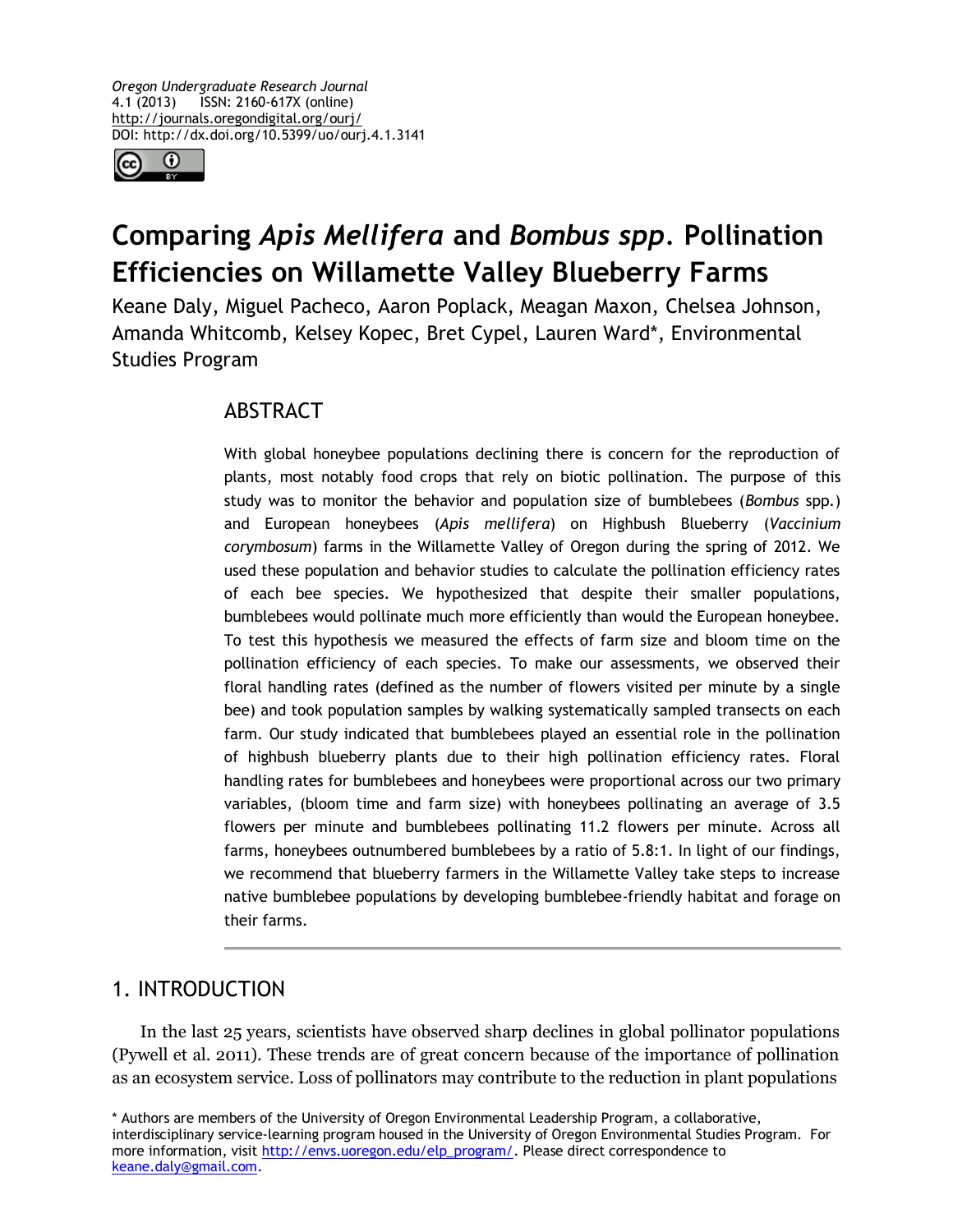

# **Comparing** *Apis Mellifera* **and** *Bombus spp.* **Pollination Efficiencies on Willamette Valley Blueberry Farms**

Keane Daly, Miguel Pacheco, Aaron Poplack, Meagan Maxon, Chelsea Johnson, Amanda Whitcomb, Kelsey Kopec, Bret Cypel, Lauren Ward\*, Environmental Studies Program

# ABSTRACT

With global honeybee populations declining there is concern for the reproduction of plants, most notably food crops that rely on biotic pollination. The purpose of this study was to monitor the behavior and population size of bumblebees (*Bombus* spp*.*) and European honeybees (*Apis mellifera*) on Highbush Blueberry (*Vaccinium corymbosum*) farms in the Willamette Valley of Oregon during the spring of 2012. We used these population and behavior studies to calculate the pollination efficiency rates of each bee species. We hypothesized that despite their smaller populations, bumblebees would pollinate much more efficiently than would the European honeybee. To test this hypothesis we measured the effects of farm size and bloom time on the pollination efficiency of each species. To make our assessments, we observed their floral handling rates (defined as the number of flowers visited per minute by a single bee) and took population samples by walking systematically sampled transects on each farm. Our study indicated that bumblebees played an essential role in the pollination of highbush blueberry plants due to their high pollination efficiency rates. Floral handling rates for bumblebees and honeybees were proportional across our two primary variables, (bloom time and farm size) with honeybees pollinating an average of 3.5 flowers per minute and bumblebees pollinating 11.2 flowers per minute. Across all farms, honeybees outnumbered bumblebees by a ratio of 5.8:1. In light of our findings, we recommend that blueberry farmers in the Willamette Valley take steps to increase native bumblebee populations by developing bumblebee-friendly habitat and forage on their farms.

# 1. INTRODUCTION

In the last 25 years, scientists have observed sharp declines in global pollinator populations (Pywell et al. 2011). These trends are of great concern because of the importance of pollination as an ecosystem service. Loss of pollinators may contribute to the reduction in plant populations

<sup>\*</sup> Authors are members of the University of Oregon Environmental Leadership Program, a collaborative,

interdisciplinary service-learning program housed in the University of Oregon Environmental Studies Program. For more information, visit http://envs.uoregon.edu/elp\_program/. Please direct correspondence to keane.daly@gmail.com.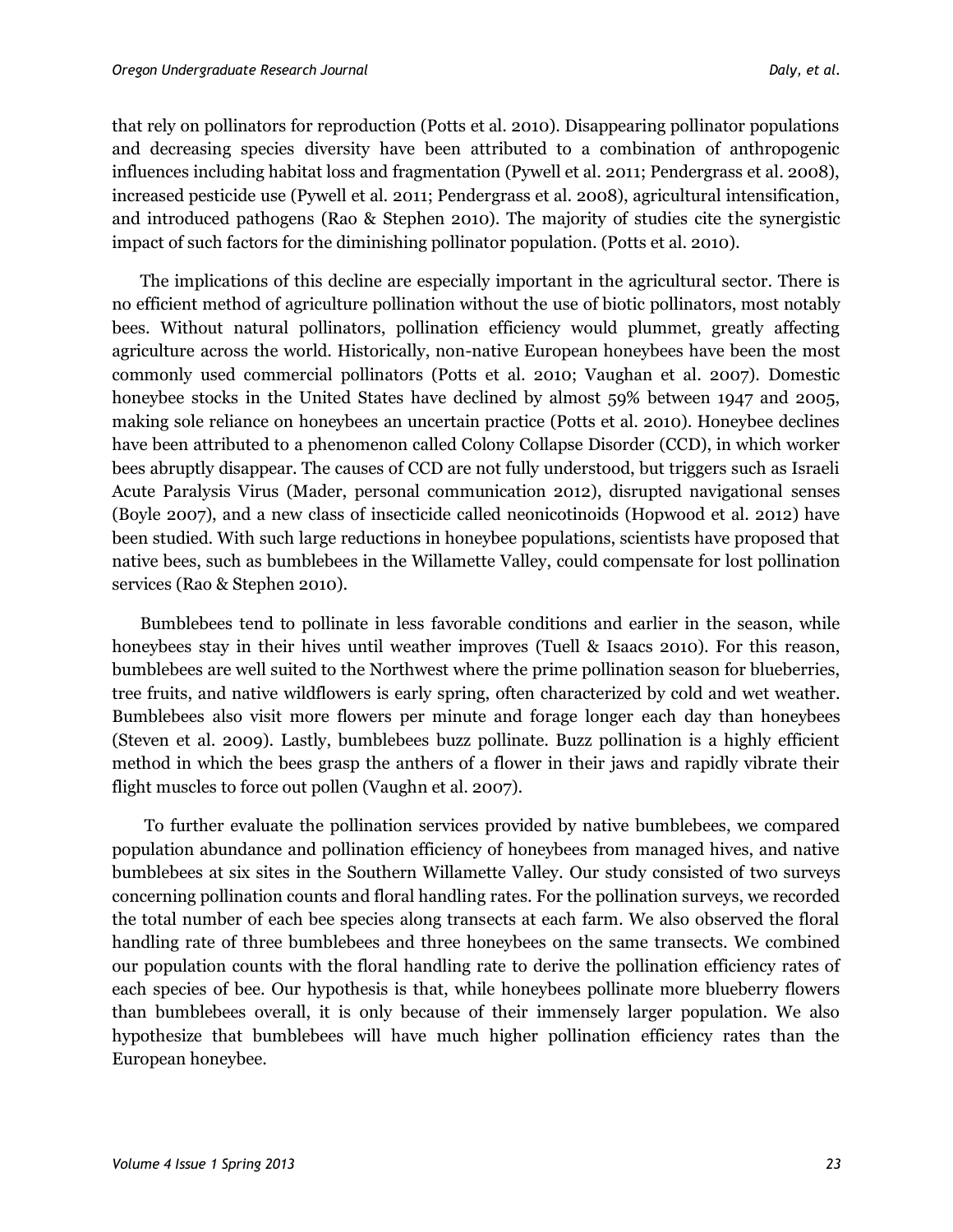that rely on pollinators for reproduction (Potts et al. 2010). Disappearing pollinator populations and decreasing species diversity have been attributed to a combination of anthropogenic influences including habitat loss and fragmentation (Pywell et al. 2011; Pendergrass et al. 2008), increased pesticide use (Pywell et al. 2011; Pendergrass et al. 2008), agricultural intensification, and introduced pathogens (Rao & Stephen 2010). The majority of studies cite the synergistic impact of such factors for the diminishing pollinator population. (Potts et al. 2010).

The implications of this decline are especially important in the agricultural sector. There is no efficient method of agriculture pollination without the use of biotic pollinators, most notably bees. Without natural pollinators, pollination efficiency would plummet, greatly affecting agriculture across the world. Historically, non-native European honeybees have been the most commonly used commercial pollinators (Potts et al. 2010; Vaughan et al. 2007). Domestic honeybee stocks in the United States have declined by almost 59% between 1947 and 2005, making sole reliance on honeybees an uncertain practice (Potts et al. 2010). Honeybee declines have been attributed to a phenomenon called Colony Collapse Disorder (CCD), in which worker bees abruptly disappear. The causes of CCD are not fully understood, but triggers such as Israeli Acute Paralysis Virus (Mader, personal communication 2012), disrupted navigational senses (Boyle 2007), and a new class of insecticide called neonicotinoids (Hopwood et al. 2012) have been studied. With such large reductions in honeybee populations, scientists have proposed that native bees, such as bumblebees in the Willamette Valley, could compensate for lost pollination services (Rao & Stephen 2010).

Bumblebees tend to pollinate in less favorable conditions and earlier in the season, while honeybees stay in their hives until weather improves (Tuell & Isaacs 2010). For this reason, bumblebees are well suited to the Northwest where the prime pollination season for blueberries, tree fruits, and native wildflowers is early spring, often characterized by cold and wet weather. Bumblebees also visit more flowers per minute and forage longer each day than honeybees (Steven et al. 2009). Lastly, bumblebees buzz pollinate. Buzz pollination is a highly efficient method in which the bees grasp the anthers of a flower in their jaws and rapidly vibrate their flight muscles to force out pollen (Vaughn et al. 2007).

To further evaluate the pollination services provided by native bumblebees, we compared population abundance and pollination efficiency of honeybees from managed hives, and native bumblebees at six sites in the Southern Willamette Valley. Our study consisted of two surveys concerning pollination counts and floral handling rates. For the pollination surveys, we recorded the total number of each bee species along transects at each farm. We also observed the floral handling rate of three bumblebees and three honeybees on the same transects. We combined our population counts with the floral handling rate to derive the pollination efficiency rates of each species of bee. Our hypothesis is that, while honeybees pollinate more blueberry flowers than bumblebees overall, it is only because of their immensely larger population. We also hypothesize that bumblebees will have much higher pollination efficiency rates than the European honeybee.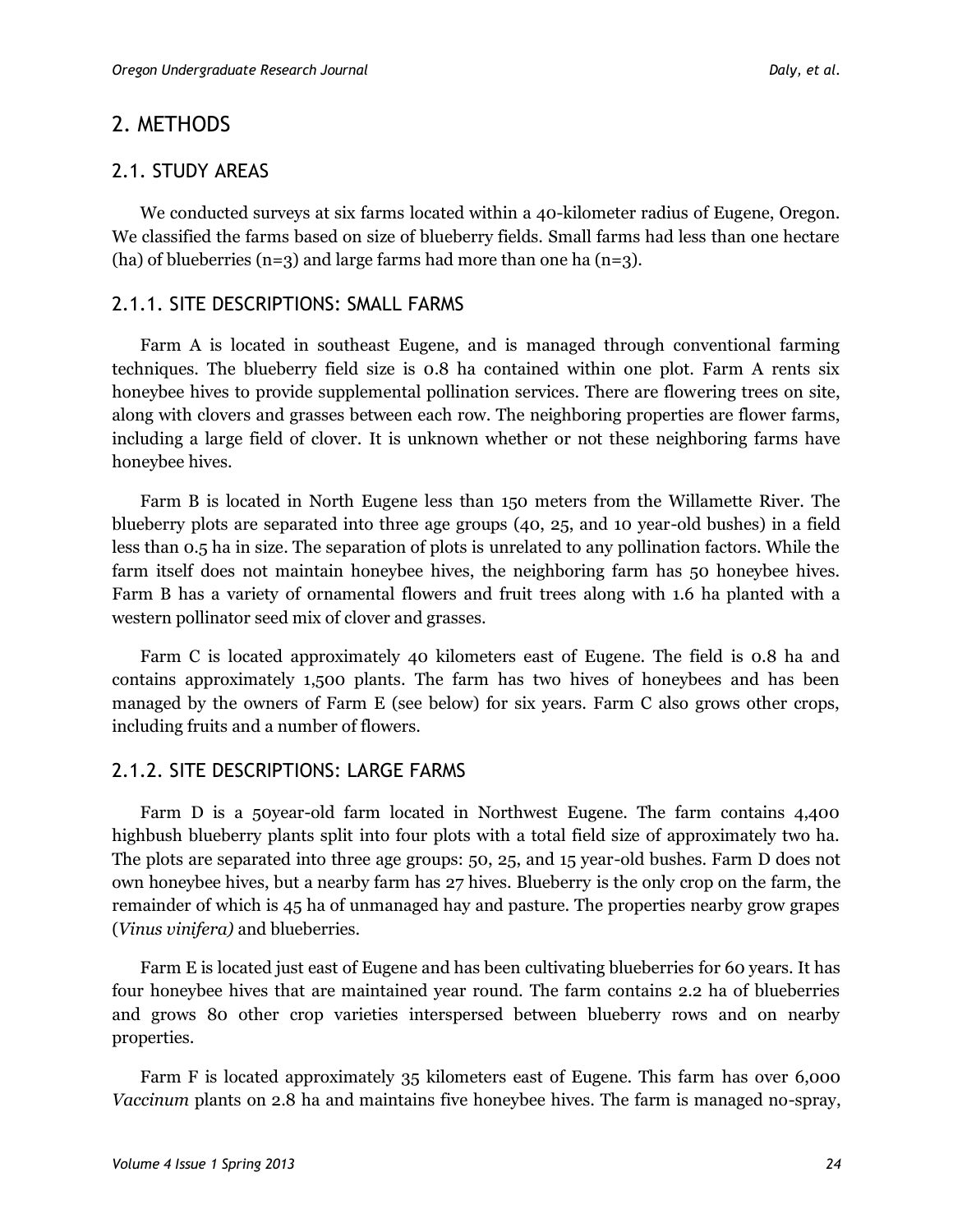# 2. METHODS

## 2.1. STUDY AREAS

We conducted surveys at six farms located within a 40-kilometer radius of Eugene, Oregon. We classified the farms based on size of blueberry fields. Small farms had less than one hectare (ha) of blueberries (n=3) and large farms had more than one ha (n=3).

## 2.1.1. SITE DESCRIPTIONS: SMALL FARMS

Farm A is located in southeast Eugene, and is managed through conventional farming techniques. The blueberry field size is 0.8 ha contained within one plot. Farm A rents six honeybee hives to provide supplemental pollination services. There are flowering trees on site, along with clovers and grasses between each row. The neighboring properties are flower farms, including a large field of clover. It is unknown whether or not these neighboring farms have honeybee hives.

Farm B is located in North Eugene less than 150 meters from the Willamette River. The blueberry plots are separated into three age groups (40, 25, and 10 year-old bushes) in a field less than 0.5 ha in size. The separation of plots is unrelated to any pollination factors. While the farm itself does not maintain honeybee hives, the neighboring farm has 50 honeybee hives. Farm B has a variety of ornamental flowers and fruit trees along with 1.6 ha planted with a western pollinator seed mix of clover and grasses.

Farm C is located approximately 40 kilometers east of Eugene. The field is 0.8 ha and contains approximately 1,500 plants. The farm has two hives of honeybees and has been managed by the owners of Farm E (see below) for six years. Farm C also grows other crops, including fruits and a number of flowers.

## 2.1.2. SITE DESCRIPTIONS: LARGE FARMS

Farm D is a 50year-old farm located in Northwest Eugene. The farm contains 4,400 highbush blueberry plants split into four plots with a total field size of approximately two ha. The plots are separated into three age groups: 50, 25, and 15 year-old bushes. Farm D does not own honeybee hives, but a nearby farm has 27 hives. Blueberry is the only crop on the farm, the remainder of which is 45 ha of unmanaged hay and pasture. The properties nearby grow grapes (*Vinus vinifera)* and blueberries.

Farm E is located just east of Eugene and has been cultivating blueberries for 60 years. It has four honeybee hives that are maintained year round. The farm contains 2.2 ha of blueberries and grows 80 other crop varieties interspersed between blueberry rows and on nearby properties.

Farm F is located approximately 35 kilometers east of Eugene. This farm has over 6,000 *Vaccinum* plants on 2.8 ha and maintains five honeybee hives. The farm is managed no-spray,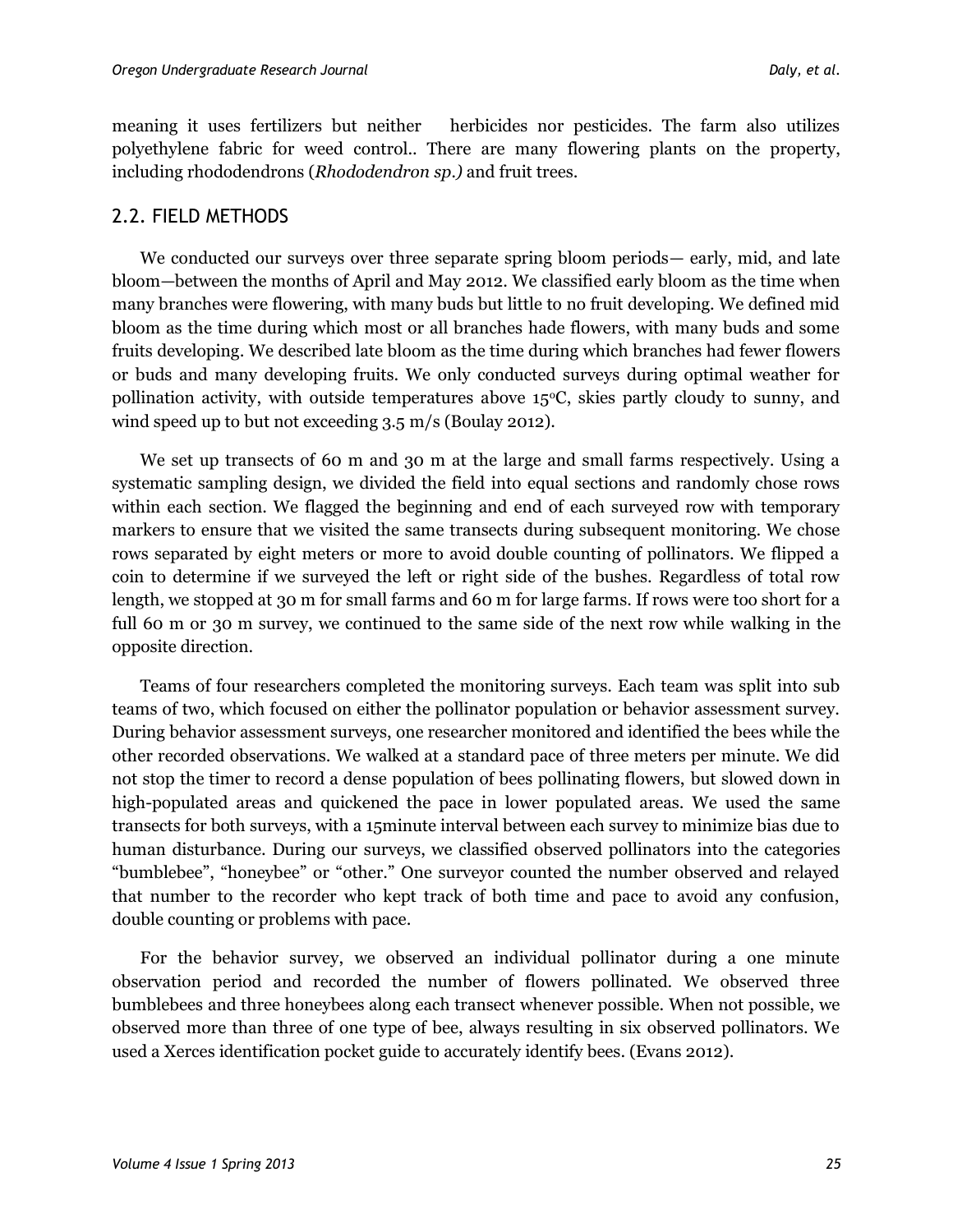meaning it uses fertilizers but neither herbicides nor pesticides. The farm also utilizes polyethylene fabric for weed control.. There are many flowering plants on the property, including rhododendrons (*Rhododendron sp.)* and fruit trees.

#### 2.2. FIELD METHODS

We conducted our surveys over three separate spring bloom periods— early, mid, and late bloom—between the months of April and May 2012. We classified early bloom as the time when many branches were flowering, with many buds but little to no fruit developing. We defined mid bloom as the time during which most or all branches hade flowers, with many buds and some fruits developing. We described late bloom as the time during which branches had fewer flowers or buds and many developing fruits. We only conducted surveys during optimal weather for pollination activity, with outside temperatures above  $15^{\circ}$ C, skies partly cloudy to sunny, and wind speed up to but not exceeding 3.5 m/s (Boulay 2012).

We set up transects of 60 m and 30 m at the large and small farms respectively. Using a systematic sampling design, we divided the field into equal sections and randomly chose rows within each section. We flagged the beginning and end of each surveyed row with temporary markers to ensure that we visited the same transects during subsequent monitoring. We chose rows separated by eight meters or more to avoid double counting of pollinators. We flipped a coin to determine if we surveyed the left or right side of the bushes. Regardless of total row length, we stopped at 30 m for small farms and 60 m for large farms. If rows were too short for a full 60 m or 30 m survey, we continued to the same side of the next row while walking in the opposite direction.

Teams of four researchers completed the monitoring surveys. Each team was split into sub teams of two, which focused on either the pollinator population or behavior assessment survey. During behavior assessment surveys, one researcher monitored and identified the bees while the other recorded observations. We walked at a standard pace of three meters per minute. We did not stop the timer to record a dense population of bees pollinating flowers, but slowed down in high-populated areas and quickened the pace in lower populated areas. We used the same transects for both surveys, with a 15minute interval between each survey to minimize bias due to human disturbance. During our surveys, we classified observed pollinators into the categories "bumblebee", "honeybee" or "other." One surveyor counted the number observed and relayed that number to the recorder who kept track of both time and pace to avoid any confusion, double counting or problems with pace.

For the behavior survey, we observed an individual pollinator during a one minute observation period and recorded the number of flowers pollinated. We observed three bumblebees and three honeybees along each transect whenever possible. When not possible, we observed more than three of one type of bee, always resulting in six observed pollinators. We used a Xerces identification pocket guide to accurately identify bees. (Evans 2012).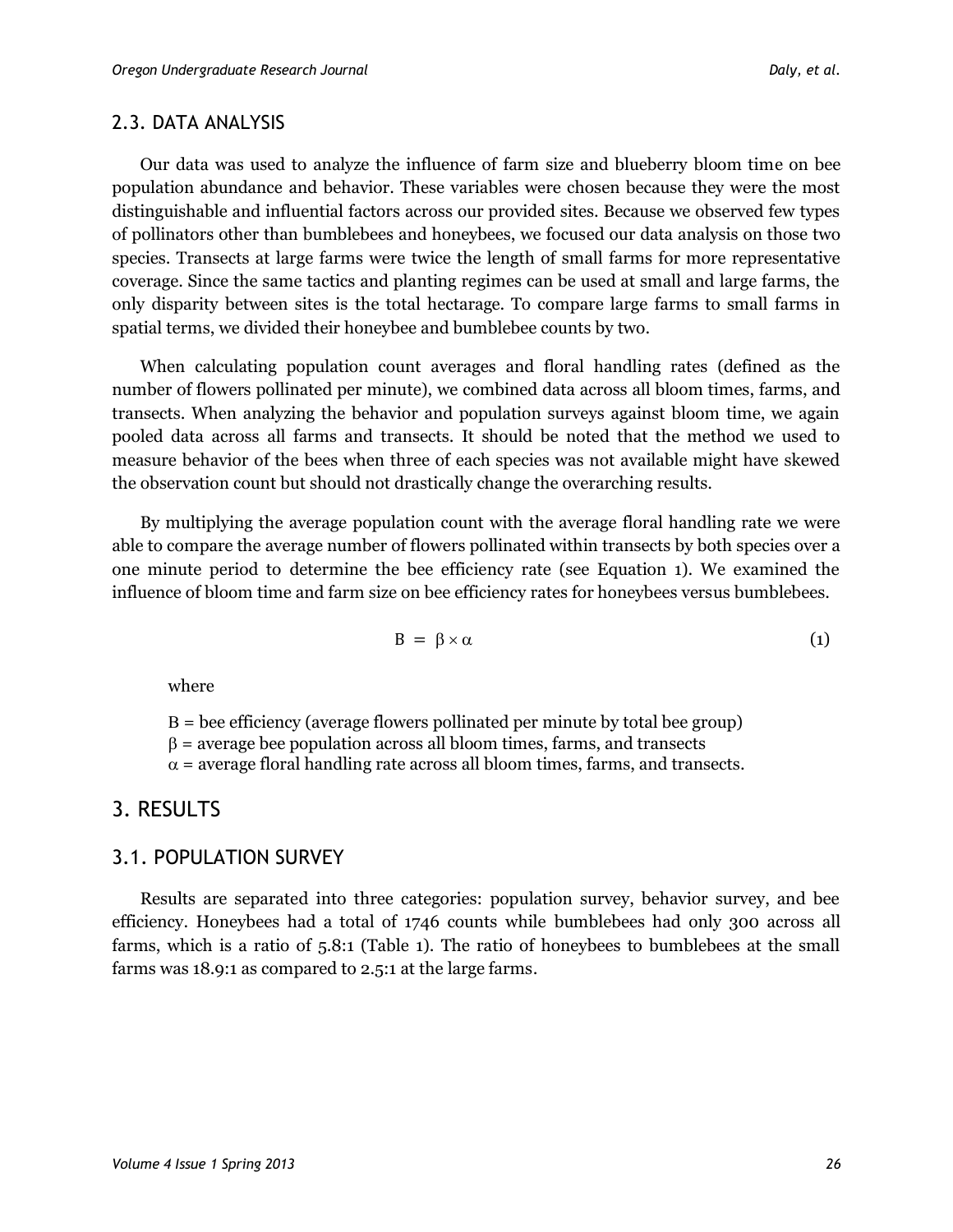#### 2.3. DATA ANALYSIS

Our data was used to analyze the influence of farm size and blueberry bloom time on bee population abundance and behavior. These variables were chosen because they were the most distinguishable and influential factors across our provided sites. Because we observed few types of pollinators other than bumblebees and honeybees, we focused our data analysis on those two species. Transects at large farms were twice the length of small farms for more representative coverage. Since the same tactics and planting regimes can be used at small and large farms, the only disparity between sites is the total hectarage. To compare large farms to small farms in spatial terms, we divided their honeybee and bumblebee counts by two.

When calculating population count averages and floral handling rates (defined as the number of flowers pollinated per minute), we combined data across all bloom times, farms, and transects. When analyzing the behavior and population surveys against bloom time, we again pooled data across all farms and transects. It should be noted that the method we used to measure behavior of the bees when three of each species was not available might have skewed the observation count but should not drastically change the overarching results.

By multiplying the average population count with the average floral handling rate we were able to compare the average number of flowers pollinated within transects by both species over a one minute period to determine the bee efficiency rate (see Equation 1). We examined the influence of bloom time and farm size on bee efficiency rates for honeybees versus bumblebees.

$$
B = \beta \times \alpha \tag{1}
$$

where

 $B =$  bee efficiency (average flowers pollinated per minute by total bee group)

 $\beta$  = average bee population across all bloom times, farms, and transects

 $\alpha$  = average floral handling rate across all bloom times, farms, and transects.

#### 3. RESULTS

#### 3.1. POPULATION SURVEY

Results are separated into three categories: population survey, behavior survey, and bee efficiency. Honeybees had a total of 1746 counts while bumblebees had only 300 across all farms, which is a ratio of 5.8:1 (Table 1). The ratio of honeybees to bumblebees at the small farms was 18.9:1 as compared to 2.5:1 at the large farms.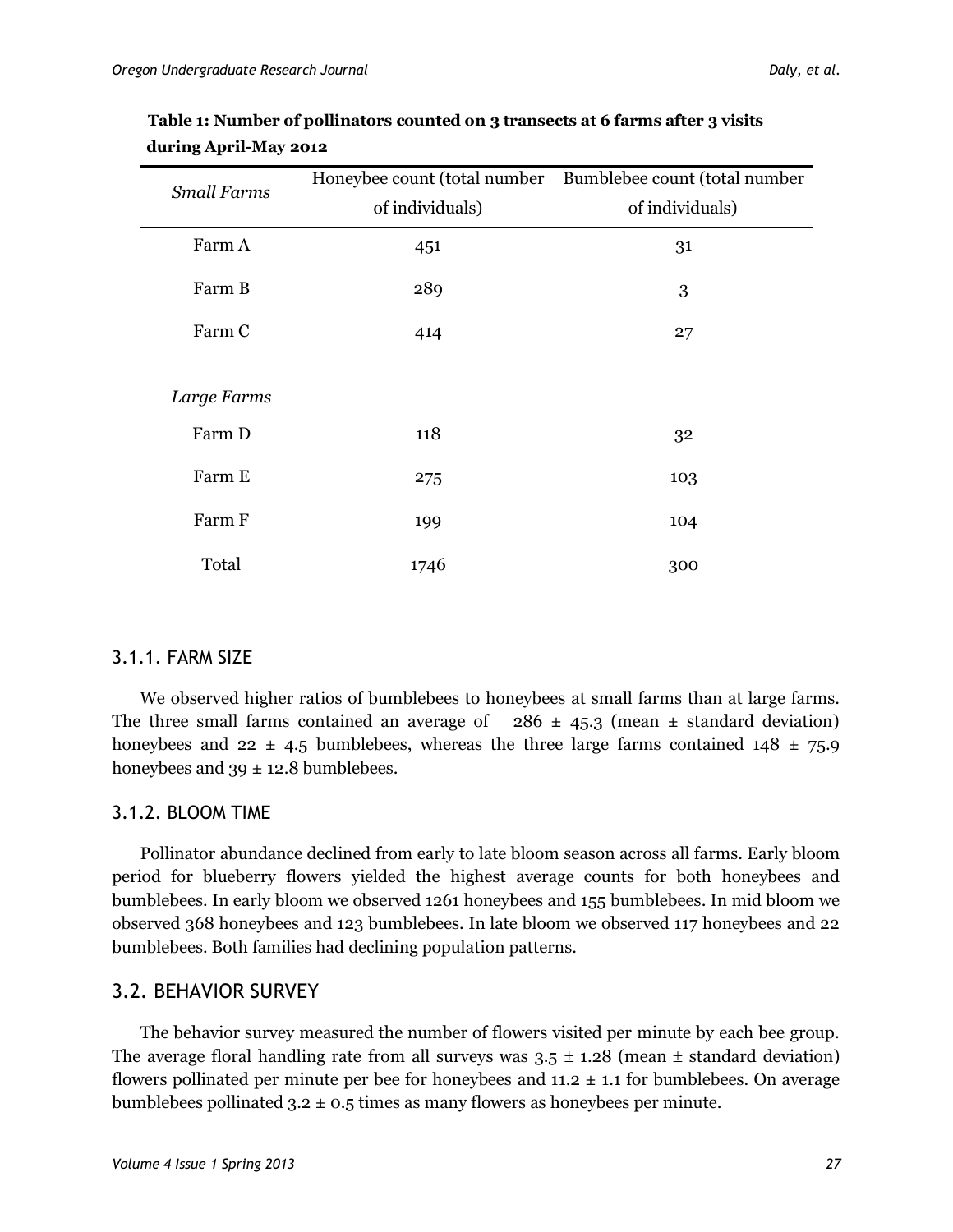|                    |                 | Honeybee count (total number Bumblebee count (total number |  |  |
|--------------------|-----------------|------------------------------------------------------------|--|--|
| <b>Small Farms</b> | of individuals) | of individuals)                                            |  |  |
| Farm A             | 451             | 31                                                         |  |  |
| Farm B             | 289             | 3                                                          |  |  |
| Farm C             | 414             | 27                                                         |  |  |
| Large Farms        |                 |                                                            |  |  |
| Farm D             | 118             | 32                                                         |  |  |
| Farm E             | 275             | 103                                                        |  |  |
| Farm F             | 199             | 104                                                        |  |  |
| Total              | 1746            | 300                                                        |  |  |

**Table 1: Number of pollinators counted on 3 transects at 6 farms after 3 visits during April-May 2012**

#### 3.1.1. FARM SIZE

We observed higher ratios of bumblebees to honeybees at small farms than at large farms. The three small farms contained an average of  $286 \pm 45.3$  (mean  $\pm$  standard deviation) honeybees and 22  $\pm$  4.5 bumblebees, whereas the three large farms contained 148  $\pm$  75.9 honeybees and  $39 \pm 12.8$  bumblebees.

#### 3.1.2. BLOOM TIME

Pollinator abundance declined from early to late bloom season across all farms. Early bloom period for blueberry flowers yielded the highest average counts for both honeybees and bumblebees. In early bloom we observed 1261 honeybees and 155 bumblebees. In mid bloom we observed 368 honeybees and 123 bumblebees. In late bloom we observed 117 honeybees and 22 bumblebees. Both families had declining population patterns.

#### 3.2. BEHAVIOR SURVEY

The behavior survey measured the number of flowers visited per minute by each bee group. The average floral handling rate from all surveys was  $3.5 \pm 1.28$  (mean  $\pm$  standard deviation) flowers pollinated per minute per bee for honeybees and  $11.2 \pm 1.1$  for bumblebees. On average bumblebees pollinated  $3.2 \pm 0.5$  times as many flowers as honeybees per minute.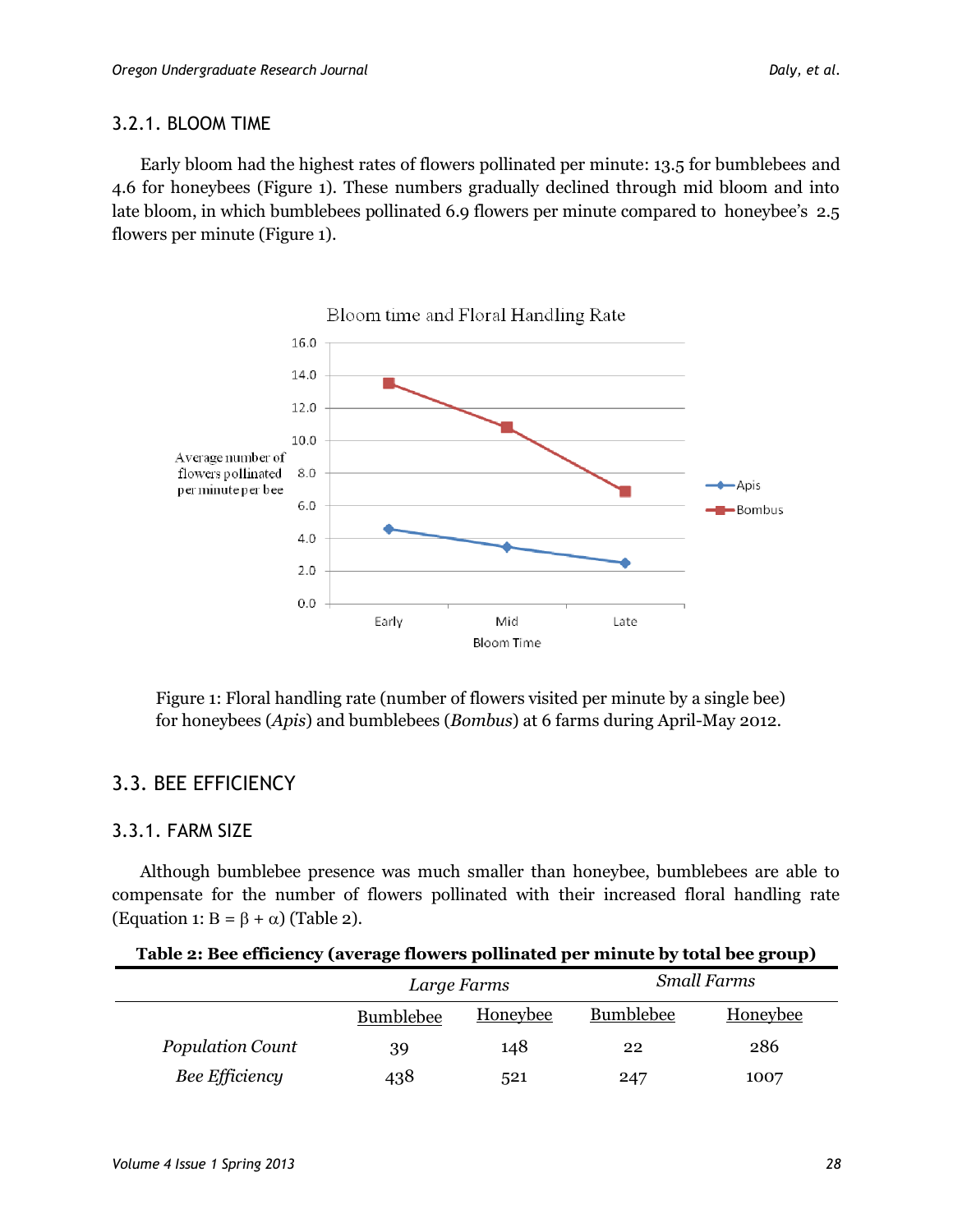### 3.2.1. BLOOM TIME

Early bloom had the highest rates of flowers pollinated per minute: 13.5 for bumblebees and 4.6 for honeybees (Figure 1). These numbers gradually declined through mid bloom and into late bloom, in which bumblebees pollinated 6.9 flowers per minute compared to honeybee's 2.5 flowers per minute (Figure 1).



Figure 1: Floral handling rate (number of flowers visited per minute by a single bee) for honeybees (*Apis*) and bumblebees (*Bombus*) at 6 farms during April-May 2012.

# 3.3. BEE EFFICIENCY

## 3.3.1. FARM SIZE

Although bumblebee presence was much smaller than honeybee, bumblebees are able to compensate for the number of flowers pollinated with their increased floral handling rate (Equation 1:  $B = \beta + \alpha$ ) (Table 2).

|                         | Large Farms      |                 | <b>Small Farms</b> |                 |
|-------------------------|------------------|-----------------|--------------------|-----------------|
|                         | <b>Bumblebee</b> | <b>Honeybee</b> | <b>Bumblebee</b>   | <b>Honeybee</b> |
| <b>Population Count</b> | 39               | 148             | 22                 | 286             |
| <b>Bee Efficiency</b>   | 438              | 521             | 247                | 1007            |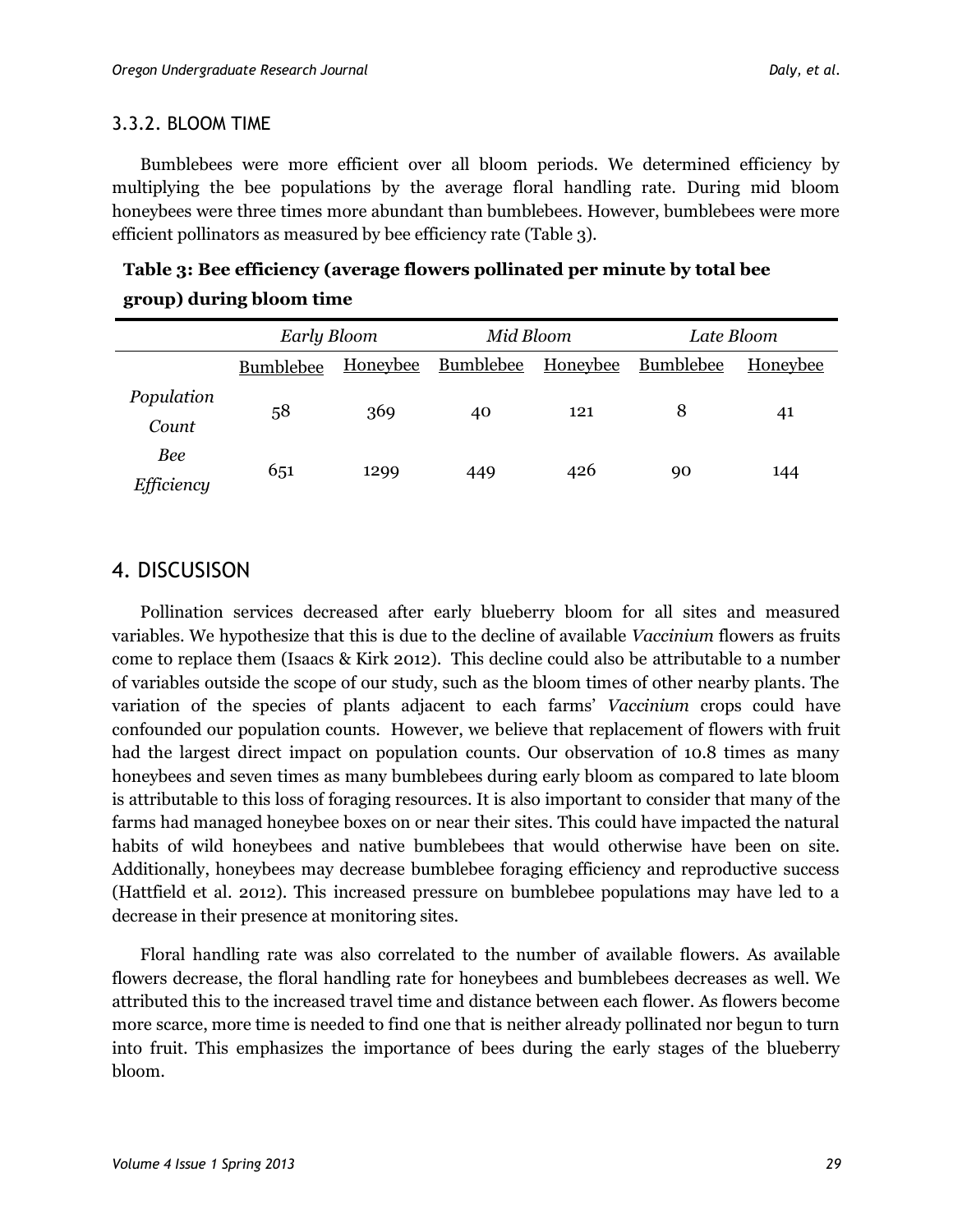#### 3.3.2. BLOOM TIME

Bumblebees were more efficient over all bloom periods. We determined efficiency by multiplying the bee populations by the average floral handling rate. During mid bloom honeybees were three times more abundant than bumblebees. However, bumblebees were more efficient pollinators as measured by bee efficiency rate (Table 3).

|                          | Early Bloom      |          | Mid Bloom        |                 | Late Bloom       |          |
|--------------------------|------------------|----------|------------------|-----------------|------------------|----------|
|                          | <b>Bumblebee</b> | Honeybee | <b>Bumblebee</b> | <b>Honeybee</b> | <b>Bumblebee</b> | Honeybee |
| Population<br>Count      | 58               | 369      | 40               | 121             | 8                | 41       |
| <b>Bee</b><br>Efficiency | 651              | 1299     | 449              | 426             | 90               | 144      |

| Table 3: Bee efficiency (average flowers pollinated per minute by total bee |  |
|-----------------------------------------------------------------------------|--|
| group) during bloom time                                                    |  |

# 4. DISCUSISON

Pollination services decreased after early blueberry bloom for all sites and measured variables. We hypothesize that this is due to the decline of available *Vaccinium* flowers as fruits come to replace them (Isaacs & Kirk 2012). This decline could also be attributable to a number of variables outside the scope of our study, such as the bloom times of other nearby plants. The variation of the species of plants adjacent to each farms' *Vaccinium* crops could have confounded our population counts. However, we believe that replacement of flowers with fruit had the largest direct impact on population counts. Our observation of 10.8 times as many honeybees and seven times as many bumblebees during early bloom as compared to late bloom is attributable to this loss of foraging resources. It is also important to consider that many of the farms had managed honeybee boxes on or near their sites. This could have impacted the natural habits of wild honeybees and native bumblebees that would otherwise have been on site. Additionally, honeybees may decrease bumblebee foraging efficiency and reproductive success (Hattfield et al. 2012). This increased pressure on bumblebee populations may have led to a decrease in their presence at monitoring sites.

Floral handling rate was also correlated to the number of available flowers. As available flowers decrease, the floral handling rate for honeybees and bumblebees decreases as well. We attributed this to the increased travel time and distance between each flower. As flowers become more scarce, more time is needed to find one that is neither already pollinated nor begun to turn into fruit. This emphasizes the importance of bees during the early stages of the blueberry bloom.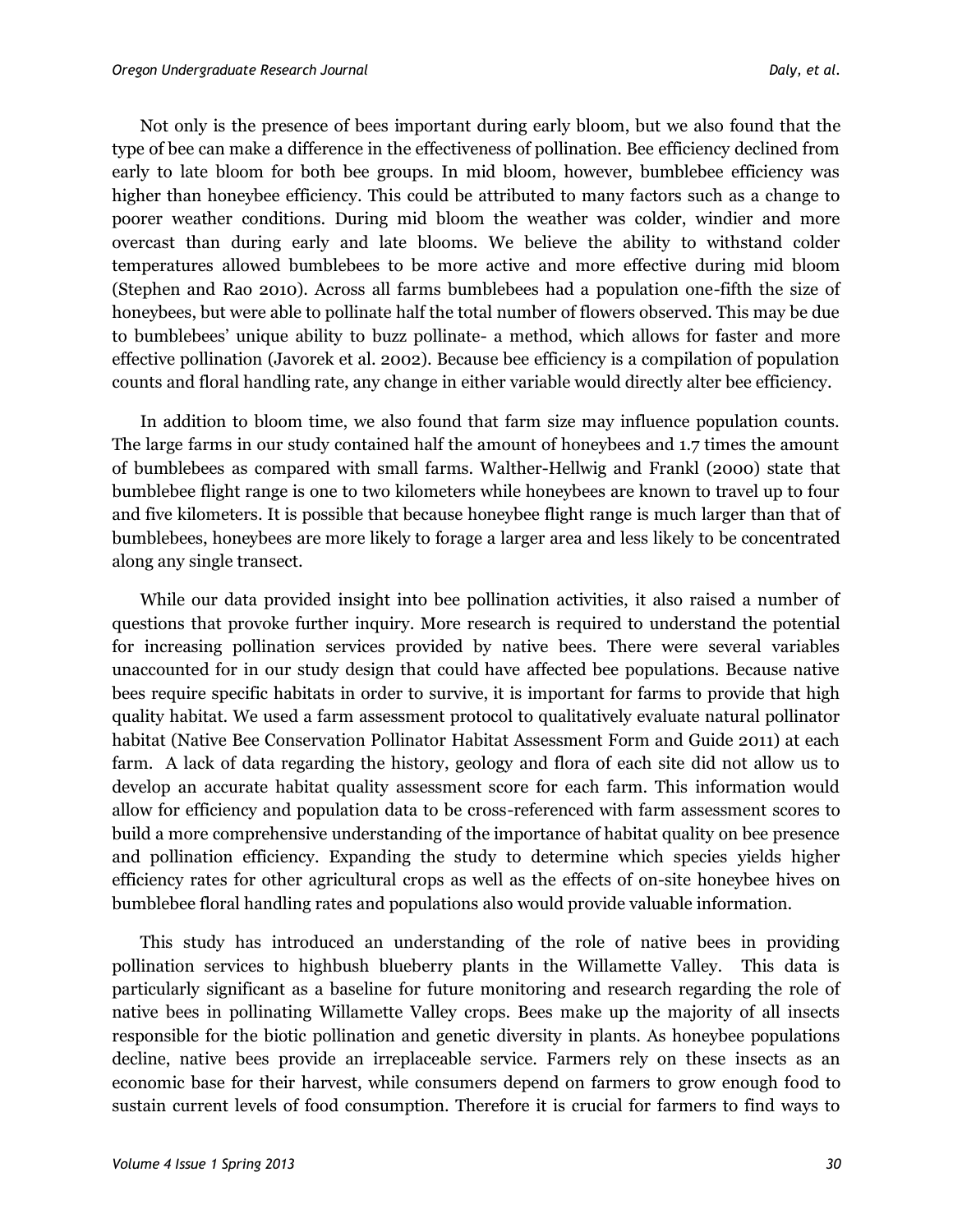Not only is the presence of bees important during early bloom, but we also found that the type of bee can make a difference in the effectiveness of pollination. Bee efficiency declined from early to late bloom for both bee groups. In mid bloom, however, bumblebee efficiency was higher than honeybee efficiency. This could be attributed to many factors such as a change to poorer weather conditions. During mid bloom the weather was colder, windier and more overcast than during early and late blooms. We believe the ability to withstand colder temperatures allowed bumblebees to be more active and more effective during mid bloom (Stephen and Rao 2010). Across all farms bumblebees had a population one-fifth the size of honeybees, but were able to pollinate half the total number of flowers observed. This may be due to bumblebees' unique ability to buzz pollinate- a method, which allows for faster and more effective pollination (Javorek et al. 2002). Because bee efficiency is a compilation of population counts and floral handling rate, any change in either variable would directly alter bee efficiency.

In addition to bloom time, we also found that farm size may influence population counts. The large farms in our study contained half the amount of honeybees and 1.7 times the amount of bumblebees as compared with small farms. Walther-Hellwig and Frankl (2000) state that bumblebee flight range is one to two kilometers while honeybees are known to travel up to four and five kilometers. It is possible that because honeybee flight range is much larger than that of bumblebees, honeybees are more likely to forage a larger area and less likely to be concentrated along any single transect.

While our data provided insight into bee pollination activities, it also raised a number of questions that provoke further inquiry. More research is required to understand the potential for increasing pollination services provided by native bees. There were several variables unaccounted for in our study design that could have affected bee populations. Because native bees require specific habitats in order to survive, it is important for farms to provide that high quality habitat. We used a farm assessment protocol to qualitatively evaluate natural pollinator habitat (Native Bee Conservation Pollinator Habitat Assessment Form and Guide 2011) at each farm. A lack of data regarding the history, geology and flora of each site did not allow us to develop an accurate habitat quality assessment score for each farm. This information would allow for efficiency and population data to be cross-referenced with farm assessment scores to build a more comprehensive understanding of the importance of habitat quality on bee presence and pollination efficiency. Expanding the study to determine which species yields higher efficiency rates for other agricultural crops as well as the effects of on-site honeybee hives on bumblebee floral handling rates and populations also would provide valuable information.

This study has introduced an understanding of the role of native bees in providing pollination services to highbush blueberry plants in the Willamette Valley. This data is particularly significant as a baseline for future monitoring and research regarding the role of native bees in pollinating Willamette Valley crops. Bees make up the majority of all insects responsible for the biotic pollination and genetic diversity in plants. As honeybee populations decline, native bees provide an irreplaceable service. Farmers rely on these insects as an economic base for their harvest, while consumers depend on farmers to grow enough food to sustain current levels of food consumption. Therefore it is crucial for farmers to find ways to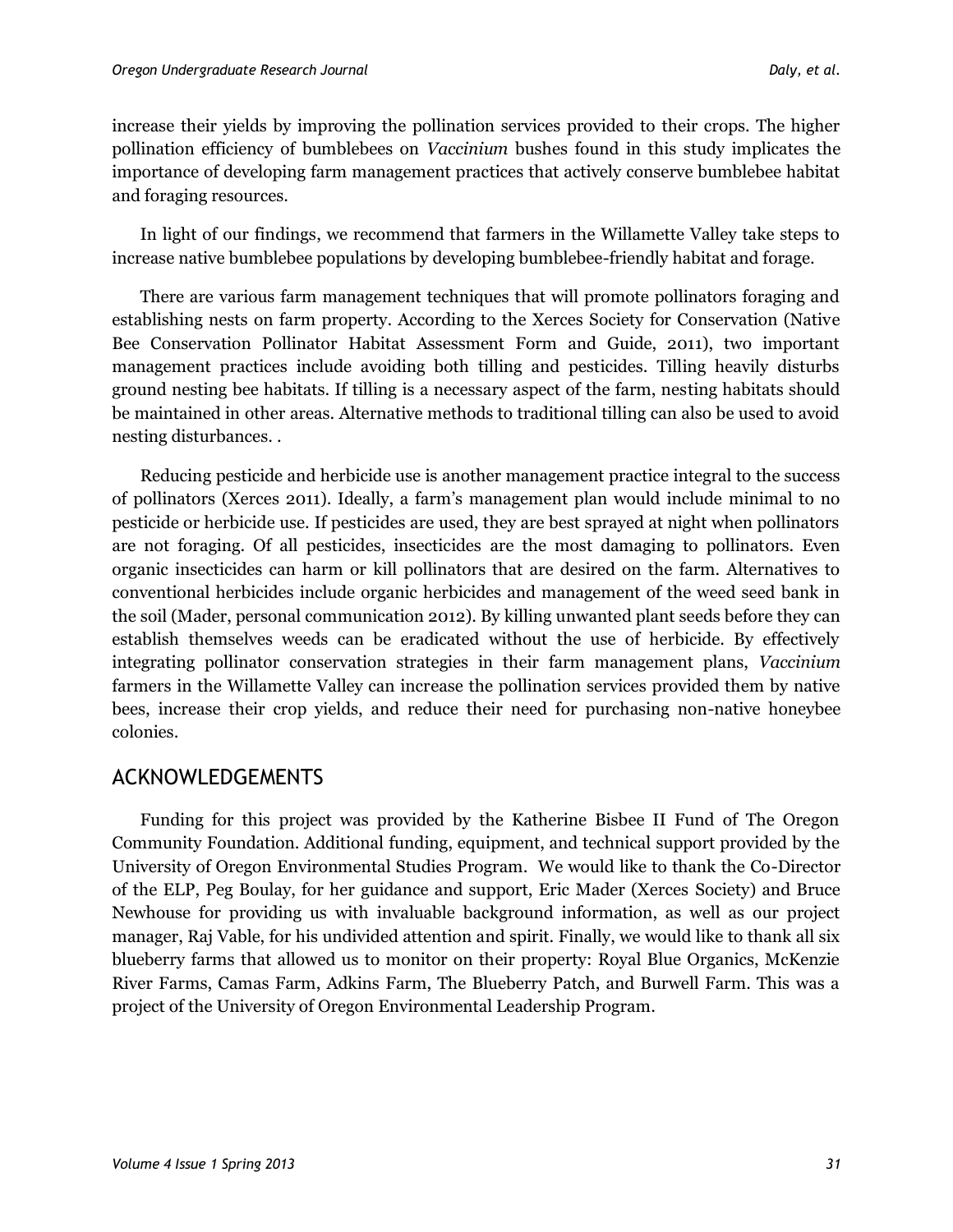increase their yields by improving the pollination services provided to their crops. The higher pollination efficiency of bumblebees on *Vaccinium* bushes found in this study implicates the importance of developing farm management practices that actively conserve bumblebee habitat and foraging resources.

In light of our findings, we recommend that farmers in the Willamette Valley take steps to increase native bumblebee populations by developing bumblebee-friendly habitat and forage.

There are various farm management techniques that will promote pollinators foraging and establishing nests on farm property. According to the Xerces Society for Conservation (Native Bee Conservation Pollinator Habitat Assessment Form and Guide, 2011), two important management practices include avoiding both tilling and pesticides. Tilling heavily disturbs ground nesting bee habitats. If tilling is a necessary aspect of the farm, nesting habitats should be maintained in other areas. Alternative methods to traditional tilling can also be used to avoid nesting disturbances. .

Reducing pesticide and herbicide use is another management practice integral to the success of pollinators (Xerces 2011). Ideally, a farm's management plan would include minimal to no pesticide or herbicide use. If pesticides are used, they are best sprayed at night when pollinators are not foraging. Of all pesticides, insecticides are the most damaging to pollinators. Even organic insecticides can harm or kill pollinators that are desired on the farm. Alternatives to conventional herbicides include organic herbicides and management of the weed seed bank in the soil (Mader, personal communication 2012). By killing unwanted plant seeds before they can establish themselves weeds can be eradicated without the use of herbicide. By effectively integrating pollinator conservation strategies in their farm management plans, *Vaccinium*  farmers in the Willamette Valley can increase the pollination services provided them by native bees, increase their crop yields, and reduce their need for purchasing non-native honeybee colonies.

## ACKNOWLEDGEMENTS

Funding for this project was provided by the Katherine Bisbee II Fund of The Oregon Community Foundation. Additional funding, equipment, and technical support provided by the University of Oregon Environmental Studies Program. We would like to thank the Co-Director of the ELP, Peg Boulay, for her guidance and support, Eric Mader (Xerces Society) and Bruce Newhouse for providing us with invaluable background information, as well as our project manager, Raj Vable, for his undivided attention and spirit. Finally, we would like to thank all six blueberry farms that allowed us to monitor on their property: Royal Blue Organics, McKenzie River Farms, Camas Farm, Adkins Farm, The Blueberry Patch, and Burwell Farm. This was a project of the University of Oregon Environmental Leadership Program.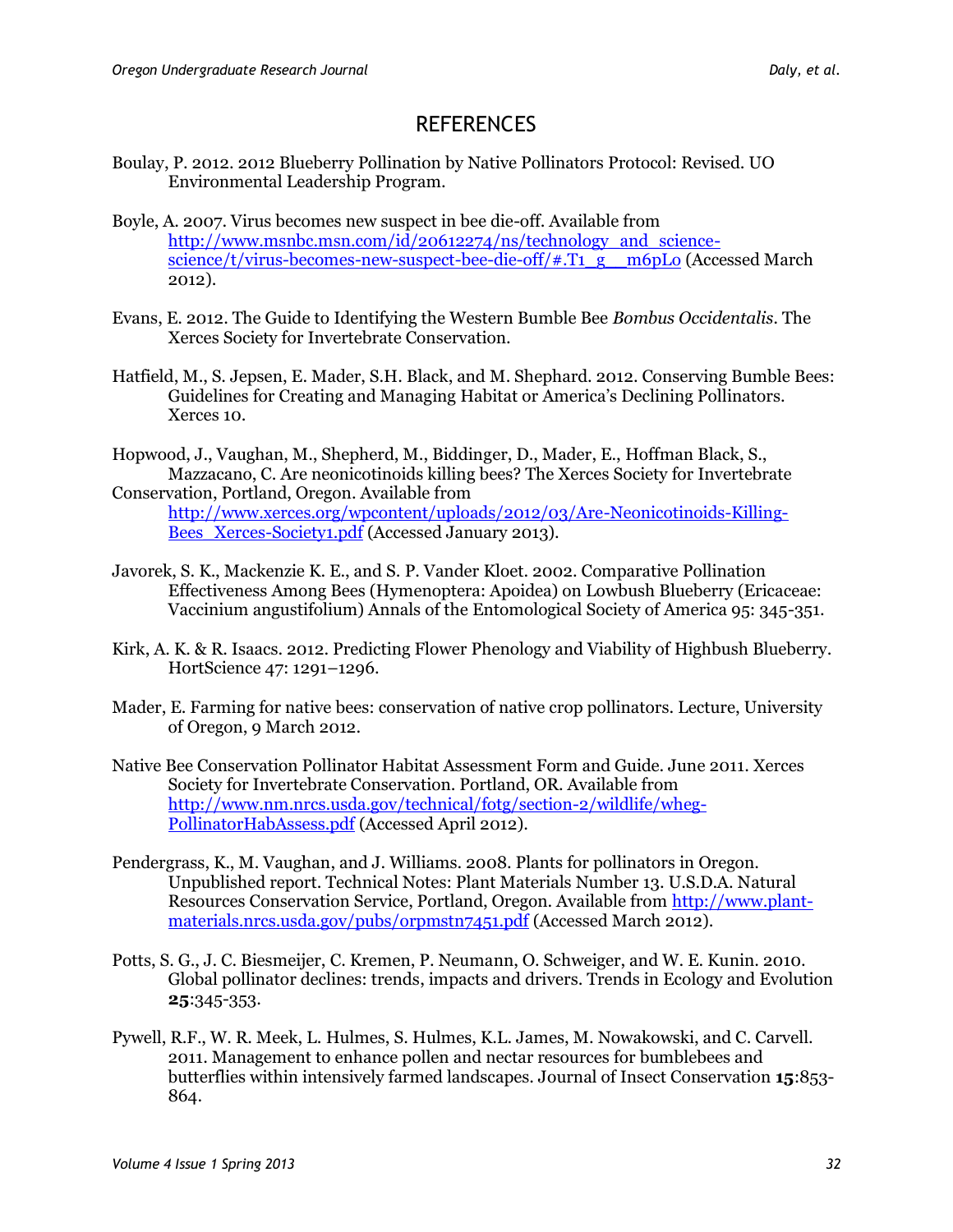# REFERENCES

- Boulay, P. 2012. 2012 Blueberry Pollination by Native Pollinators Protocol: Revised. UO Environmental Leadership Program.
- Boyle, A. 2007. Virus becomes new suspect in bee die-off. Available from http://www.msnbc.msn.com/id/20612274/ns/technology and science[science/t/virus-becomes-new-suspect-bee-die-off/#.T1\\_g\\_\\_m6pLo](http://www.msnbc.msn.com/id/20612274/ns/technology_and_science-science/t/virus-becomes-new-suspect-bee-die-off/%23.T1_g__m6pLo) (Accessed March 2012).
- Evans, E. 2012. The Guide to Identifying the Western Bumble Bee *Bombus Occidentalis.* The Xerces Society for Invertebrate Conservation.
- Hatfield, M., S. Jepsen, E. Mader, S.H. Black, and M. Shephard. 2012. Conserving Bumble Bees: Guidelines for Creating and Managing Habitat or America's Declining Pollinators. Xerces 10.
- Hopwood, J., Vaughan, M., Shepherd, M., Biddinger, D., Mader, E., Hoffman Black, S., Mazzacano, C. Are neonicotinoids killing bees? The Xerces Society for Invertebrate
- Conservation, Portland, Oregon. Available from [http://www.xerces.org/wpcontent/uploads/2012/03/Are-Neonicotinoids-Killing-](http://www.xerces.org/wpcontent/uploads/2012/03/Are-Neonicotinoids-Killing-Bees_Xerces-Society1.pdf)Bees Xerces-Society1.pdf (Accessed January 2013).
- Javorek, S. K., Mackenzie K. E., and S. P. Vander Kloet. 2002. Comparative Pollination Effectiveness Among Bees (Hymenoptera: Apoidea) on Lowbush Blueberry (Ericaceae: Vaccinium angustifolium) Annals of the Entomological Society of America 95: 345-351.
- Kirk, A. K. & R. Isaacs. 2012. Predicting Flower Phenology and Viability of Highbush Blueberry. HortScience 47: 1291–1296.
- Mader, E. Farming for native bees: conservation of native crop pollinators. Lecture, University of Oregon, 9 March 2012.
- Native Bee Conservation Pollinator Habitat Assessment Form and Guide. June 2011. Xerces Society for Invertebrate Conservation. Portland, OR. Available from [http://www.nm.nrcs.usda.gov/technical/fotg/section-2/wildlife/wheg-](http://www.nm.nrcs.usda.gov/technical/fotg/section-2/wildlife/wheg-PollinatorHabAssess.pdf)[PollinatorHabAssess.pdf](http://www.nm.nrcs.usda.gov/technical/fotg/section-2/wildlife/wheg-PollinatorHabAssess.pdf) (Accessed April 2012).
- Pendergrass, K., M. Vaughan, and J. Williams. 2008. Plants for pollinators in Oregon. Unpublished report. Technical Notes: Plant Materials Number 13. U.S.D.A. Natural Resources Conservation Service, Portland, Oregon. Available from [http://www.plant](http://www.plant-materials.nrcs.usda.gov/pubs/orpmstn7451.pdf)[materials.nrcs.usda.gov/pubs/orpmstn7451.pdf](http://www.plant-materials.nrcs.usda.gov/pubs/orpmstn7451.pdf) (Accessed March 2012).
- Potts, S. G., J. C. Biesmeijer, C. Kremen, P. Neumann, O. Schweiger, and W. E. Kunin. 2010. Global pollinator declines: trends, impacts and drivers. Trends in Ecology and Evolution **25**:345-353.
- Pywell, R.F., W. R. Meek, L. Hulmes, S. Hulmes, K.L. James, M. Nowakowski, and C. Carvell. 2011. Management to enhance pollen and nectar resources for bumblebees and butterflies within intensively farmed landscapes. Journal of Insect Conservation **15**:853- 864.